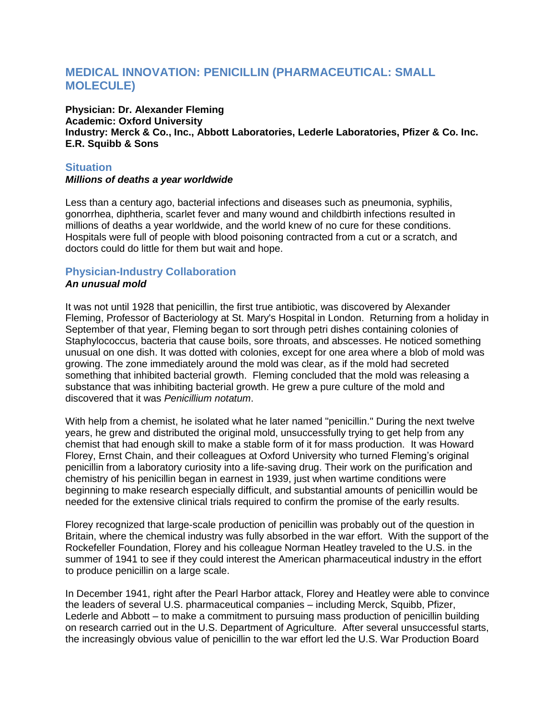# **MEDICAL INNOVATION: PENICILLIN (PHARMACEUTICAL: SMALL MOLECULE)**

**Physician: Dr. Alexander Fleming Academic: Oxford University Industry: Merck & Co., Inc., Abbott Laboratories, Lederle Laboratories, Pfizer & Co. Inc. E.R. Squibb & Sons**

### **Situation**

#### *Millions of deaths a year worldwide*

Less than a century ago, bacterial infections and diseases such as pneumonia, syphilis, gonorrhea, diphtheria, scarlet fever and many wound and childbirth infections resulted in millions of deaths a year worldwide, and the world knew of no cure for these conditions. Hospitals were full of people with blood poisoning contracted from a cut or a scratch, and doctors could do little for them but wait and hope.

## **Physician-Industry Collaboration**

#### *An unusual mold*

It was not until 1928 that penicillin, the first true antibiotic, was discovered by Alexander Fleming, Professor of Bacteriology at St. Mary's Hospital in London. Returning from a holiday in September of that year, Fleming began to sort through petri dishes containing colonies of Staphylococcus, bacteria that cause boils, sore throats, and abscesses. He noticed something unusual on one dish. It was dotted with colonies, except for one area where a blob of mold was growing. The zone immediately around the mold was clear, as if the mold had secreted something that inhibited bacterial growth. Fleming concluded that the mold was releasing a substance that was inhibiting bacterial growth. He grew a pure culture of the mold and discovered that it was *Penicillium notatum*.

With help from a chemist, he isolated what he later named "penicillin." During the next twelve years, he grew and distributed the original mold, unsuccessfully trying to get help from any chemist that had enough skill to make a stable form of it for mass production. It was Howard Florey, Ernst Chain, and their colleagues at Oxford University who turned Fleming's original penicillin from a laboratory curiosity into a life-saving drug. Their work on the purification and chemistry of his penicillin began in earnest in 1939, just when wartime conditions were beginning to make research especially difficult, and substantial amounts of penicillin would be needed for the extensive clinical trials required to confirm the promise of the early results.

Florey recognized that large-scale production of penicillin was probably out of the question in Britain, where the chemical industry was fully absorbed in the war effort. With the support of the Rockefeller Foundation, Florey and his colleague Norman Heatley traveled to the U.S. in the summer of 1941 to see if they could interest the American pharmaceutical industry in the effort to produce penicillin on a large scale.

In December 1941, right after the Pearl Harbor attack, Florey and Heatley were able to convince the leaders of several U.S. pharmaceutical companies – including Merck, Squibb, Pfizer, Lederle and Abbott – to make a commitment to pursuing mass production of penicillin building on research carried out in the U.S. Department of Agriculture. After several unsuccessful starts, the increasingly obvious value of penicillin to the war effort led the U.S. War Production Board